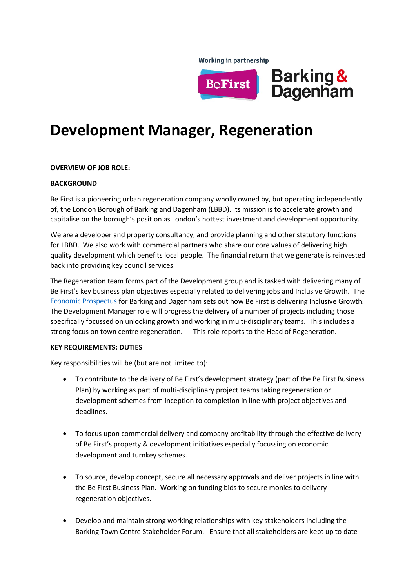**Working in partnership** 



# **Development Manager, Regeneration**

### **OVERVIEW OF JOB ROLE:**

### **BACKGROUND**

Be First is a pioneering urban regeneration company wholly owned by, but operating independently of, the London Borough of Barking and Dagenham (LBBD). Its mission is to accelerate growth and capitalise on the borough's position as London's hottest investment and development opportunity.

We are a developer and property consultancy, and provide planning and other statutory functions for LBBD. We also work with commercial partners who share our core values of delivering high quality development which benefits local people. The financial return that we generate is reinvested back into providing key council services.

The Regeneration team forms part of the Development group and is tasked with delivering many of Be First's key business plan objectives especially related to delivering jobs and Inclusive Growth. The [Economic Prospectus](https://online.pubhtml5.com/prck/wizy/#p=1) for Barking and Dagenham sets out how Be First is delivering Inclusive Growth. The Development Manager role will progress the delivery of a number of projects including those specifically focussed on unlocking growth and working in multi-disciplinary teams. This includes a strong focus on town centre regeneration. This role reports to the Head of Regeneration.

### **KEY REQUIREMENTS: DUTIES**

Key responsibilities will be (but are not limited to):

- To contribute to the delivery of Be First's development strategy (part of the Be First Business Plan) by working as part of multi-disciplinary project teams taking regeneration or development schemes from inception to completion in line with project objectives and deadlines.
- To focus upon commercial delivery and company profitability through the effective delivery of Be First's property & development initiatives especially focussing on economic development and turnkey schemes.
- To source, develop concept, secure all necessary approvals and deliver projects in line with the Be First Business Plan. Working on funding bids to secure monies to delivery regeneration objectives.
- Develop and maintain strong working relationships with key stakeholders including the Barking Town Centre Stakeholder Forum. Ensure that all stakeholders are kept up to date